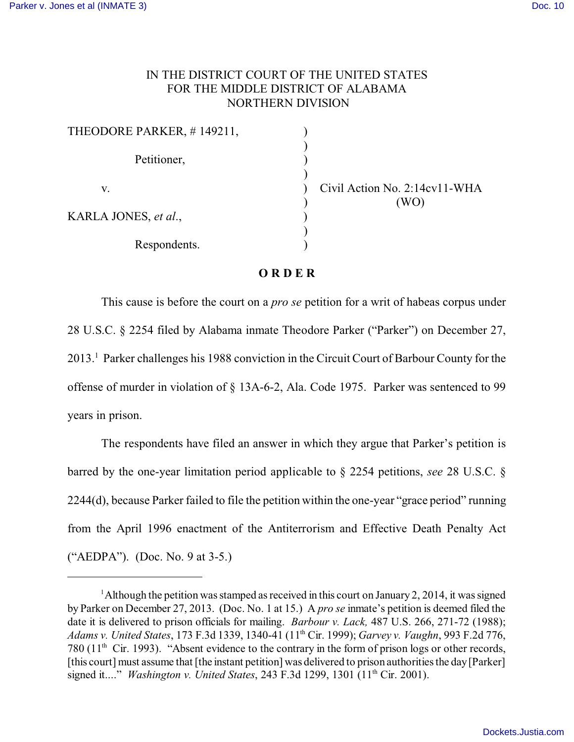## IN THE DISTRICT COURT OF THE UNITED STATES FOR THE MIDDLE DISTRICT OF ALABAMA NORTHERN DIVISION

| THEODORE PARKER, #149211, |  |
|---------------------------|--|
| Petitioner,               |  |
| V.                        |  |
| KARLA JONES, et al.,      |  |
| Respondents.              |  |

Civil Action No.  $2:14$ cv $11-WHA$  $(WO)$ 

## **O R D E R**

This cause is before the court on a *pro se* petition for a writ of habeas corpus under 28 U.S.C. § 2254 filed by Alabama inmate Theodore Parker ("Parker") on December 27, 2013.<sup>1</sup> Parker challenges his 1988 conviction in the Circuit Court of Barbour County for the offense of murder in violation of § 13A-6-2, Ala. Code 1975. Parker was sentenced to 99 years in prison.

The respondents have filed an answer in which they argue that Parker's petition is barred by the one-year limitation period applicable to § 2254 petitions, *see* 28 U.S.C. § 2244(d), because Parker failed to file the petition within the one-year "grace period" running from the April 1996 enactment of the Antiterrorism and Effective Death Penalty Act ("AEDPA"). (Doc. No. 9 at 3-5.)

<sup>&</sup>lt;sup>1</sup> Although the petition was stamped as received in this court on January 2, 2014, it was signed by Parker on December 27, 2013. (Doc. No. 1 at 15.) A *pro se* inmate's petition is deemed filed the date it is delivered to prison officials for mailing. *Barbour v. Lack,* 487 U.S. 266, 271-72 (1988); *Adams v. United States*, 173 F.3d 1339, 1340-41 (11 Cir. 1999); *Garvey v. Vaughn*, 993 F.2d 776, th 780 ( $11<sup>th</sup>$  Cir. 1993). "Absent evidence to the contrary in the form of prison logs or other records, [this court] must assume that [the instant petition] was delivered to prison authorities the day [Parker] signed it...." *Washington v. United States*, 243 F.3d 1299, 1301 (11<sup>th</sup> Cir. 2001).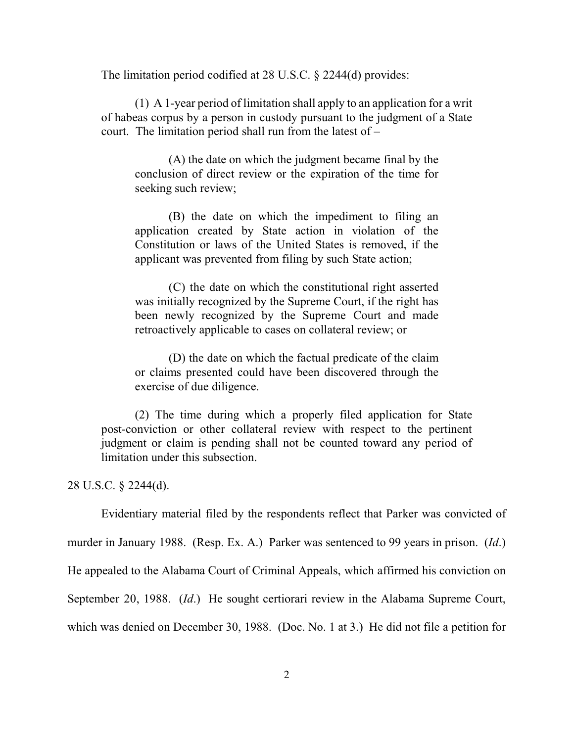The limitation period codified at 28 U.S.C. § 2244(d) provides:

(1) A 1-year period of limitation shall apply to an application for a writ of habeas corpus by a person in custody pursuant to the judgment of a State court. The limitation period shall run from the latest of –

(A) the date on which the judgment became final by the conclusion of direct review or the expiration of the time for seeking such review;

(B) the date on which the impediment to filing an application created by State action in violation of the Constitution or laws of the United States is removed, if the applicant was prevented from filing by such State action;

(C) the date on which the constitutional right asserted was initially recognized by the Supreme Court, if the right has been newly recognized by the Supreme Court and made retroactively applicable to cases on collateral review; or

(D) the date on which the factual predicate of the claim or claims presented could have been discovered through the exercise of due diligence.

(2) The time during which a properly filed application for State post-conviction or other collateral review with respect to the pertinent judgment or claim is pending shall not be counted toward any period of limitation under this subsection.

28 U.S.C. § 2244(d).

Evidentiary material filed by the respondents reflect that Parker was convicted of murder in January 1988. (Resp. Ex. A.) Parker was sentenced to 99 years in prison. (*Id*.) He appealed to the Alabama Court of Criminal Appeals, which affirmed his conviction on September 20, 1988. (*Id*.) He sought certiorari review in the Alabama Supreme Court, which was denied on December 30, 1988. (Doc. No. 1 at 3.) He did not file a petition for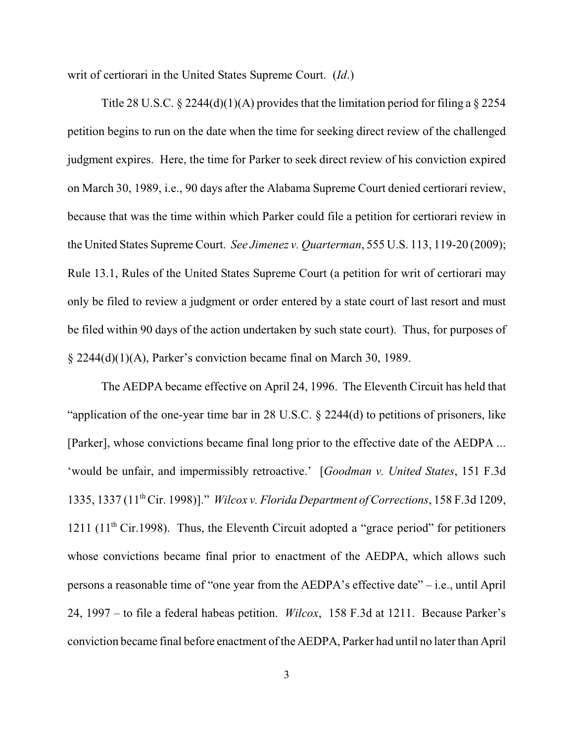writ of certiorari in the United States Supreme Court. (*Id*.)

Title 28 U.S.C.  $\S$  2244(d)(1)(A) provides that the limitation period for filing a  $\S$  2254 petition begins to run on the date when the time for seeking direct review of the challenged judgment expires. Here, the time for Parker to seek direct review of his conviction expired on March 30, 1989, i.e., 90 days after the Alabama Supreme Court denied certiorari review, because that was the time within which Parker could file a petition for certiorari review in the United States Supreme Court. *See Jimenez v. Quarterman*, 555 U.S. 113, 119-20 (2009); Rule 13.1, Rules of the United States Supreme Court (a petition for writ of certiorari may only be filed to review a judgment or order entered by a state court of last resort and must be filed within 90 days of the action undertaken by such state court). Thus, for purposes of § 2244(d)(1)(A), Parker's conviction became final on March 30, 1989.

The AEDPA became effective on April 24, 1996. The Eleventh Circuit has held that "application of the one-year time bar in 28 U.S.C. § 2244(d) to petitions of prisoners, like [Parker], whose convictions became final long prior to the effective date of the AEDPA ... 'would be unfair, and impermissibly retroactive.' [*Goodman v. United States*, 151 F.3d 1335, 1337 (11 Cir. 1998)]." *Wilcox v. Florida Department of Corrections*, 158 F.3d 1209, th 1211 (11<sup>th</sup> Cir.1998). Thus, the Eleventh Circuit adopted a "grace period" for petitioners whose convictions became final prior to enactment of the AEDPA, which allows such persons a reasonable time of "one year from the AEDPA's effective date" – i.e., until April 24, 1997 – to file a federal habeas petition. *Wilcox*, 158 F.3d at 1211. Because Parker's conviction became final before enactment of the AEDPA, Parker had until no later than April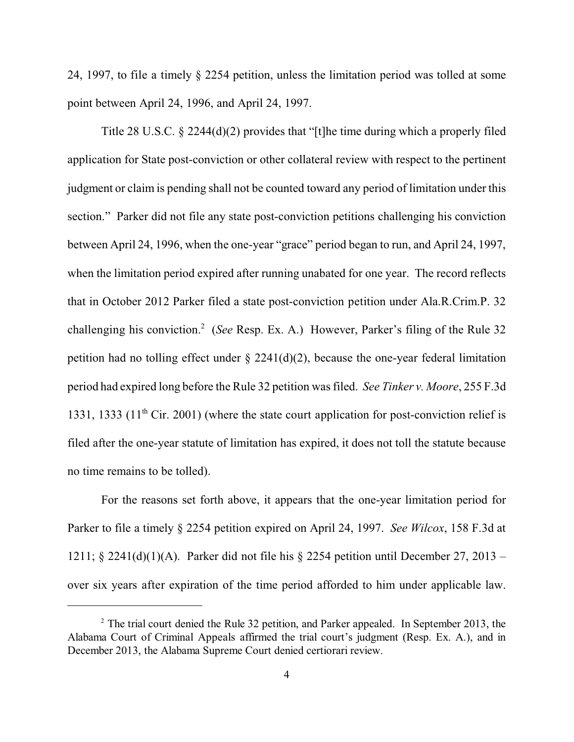24, 1997, to file a timely § 2254 petition, unless the limitation period was tolled at some point between April 24, 1996, and April 24, 1997.

Title 28 U.S.C. § 2244(d)(2) provides that "[t]he time during which a properly filed application for State post-conviction or other collateral review with respect to the pertinent judgment or claim is pending shall not be counted toward any period of limitation under this section." Parker did not file any state post-conviction petitions challenging his conviction between April 24, 1996, when the one-year "grace" period began to run, and April 24, 1997, when the limitation period expired after running unabated for one year. The record reflects that in October 2012 Parker filed a state post-conviction petition under Ala.R.Crim.P. 32 challenging his conviction.<sup>2</sup> (*See* Resp. Ex. A.) However, Parker's filing of the Rule 32 petition had no tolling effect under  $\S$  2241(d)(2), because the one-year federal limitation period had expired long before the Rule 32 petition was filed. *See Tinker v. Moore*, 255 F.3d 1331, 1333 (11<sup>th</sup> Cir. 2001) (where the state court application for post-conviction relief is filed after the one-year statute of limitation has expired, it does not toll the statute because no time remains to be tolled).

For the reasons set forth above, it appears that the one-year limitation period for Parker to file a timely § 2254 petition expired on April 24, 1997. *See Wilcox*, 158 F.3d at 1211; § 2241(d)(1)(A). Parker did not file his § 2254 petition until December 27, 2013 – over six years after expiration of the time period afforded to him under applicable law.

 $2^2$  The trial court denied the Rule 32 petition, and Parker appealed. In September 2013, the Alabama Court of Criminal Appeals affirmed the trial court's judgment (Resp. Ex. A.), and in December 2013, the Alabama Supreme Court denied certiorari review.